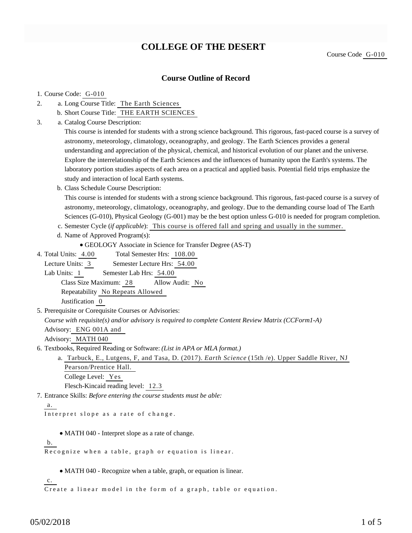# **COLLEGE OF THE DESERT**

### **Course Outline of Record**

#### 1. Course Code: G-010

- a. Long Course Title: The Earth Sciences 2.
	- b. Short Course Title: THE EARTH SCIENCES
- Catalog Course Description: a. 3.

This course is intended for students with a strong science background. This rigorous, fast-paced course is a survey of astronomy, meteorology, climatology, oceanography, and geology. The Earth Sciences provides a general understanding and appreciation of the physical, chemical, and historical evolution of our planet and the universe. Explore the interrelationship of the Earth Sciences and the influences of humanity upon the Earth's systems. The laboratory portion studies aspects of each area on a practical and applied basis. Potential field trips emphasize the study and interaction of local Earth systems.

b. Class Schedule Course Description:

This course is intended for students with a strong science background. This rigorous, fast-paced course is a survey of astronomy, meteorology, climatology, oceanography, and geology. Due to the demanding course load of The Earth Sciences (G-010), Physical Geology (G-001) may be the best option unless G-010 is needed for program completion.

- c. Semester Cycle (*if applicable*): This course is offered fall and spring and usually in the summer.
- d. Name of Approved Program(s):

```
GEOLOGY Associate in Science for Transfer Degree (AS-T)
```
Total Semester Hrs: 108.00 4. Total Units: 4.00

Lecture Units: 3 Semester Lecture Hrs: 54.00 Lab Units: 1 Semester Lab Hrs: 54.00

Class Size Maximum: 28 Allow Audit: No Repeatability No Repeats Allowed

Justification 0

5. Prerequisite or Corequisite Courses or Advisories:

*Course with requisite(s) and/or advisory is required to complete Content Review Matrix (CCForm1-A)* Advisory: ENG 001A and

Advisory: MATH 040

6. Textbooks, Required Reading or Software: (List in APA or MLA format.)

a. Tarbuck, E., Lutgens, F, and Tasa, D. (2017). *Earth Science* (15th /e). Upper Saddle River, NJ Pearson/Prentice Hall. College Level: Yes Flesch-Kincaid reading level: 12.3

Entrance Skills: *Before entering the course students must be able:* 7.

a.

Interpret slope as a rate of change.

MATH 040 - Interpret slope as a rate of change.

b.

Recognize when a table, graph or equation is linear.

MATH 040 - Recognize when a table, graph, or equation is linear.

c.

Create a linear model in the form of a graph, table or equation.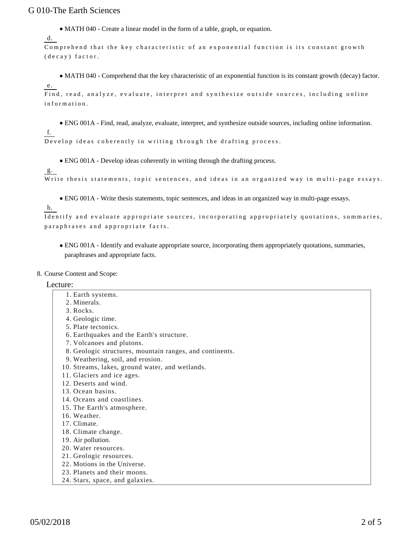MATH 040 - Create a linear model in the form of a table, graph, or equation.

```
d.
```
Comprehend that the key characteristic of an exponential function is its constant growth (decay) factor.

MATH 040 - Comprehend that the key characteristic of an exponential function is its constant growth (decay) factor. e.

Find, read, analyze, evaluate, interpret and synthesize outside sources, including online information.

ENG 001A - Find, read, analyze, evaluate, interpret, and synthesize outside sources, including online information.

f.

Develop ideas coherently in writing through the drafting process.

ENG 001A - Develop ideas coherently in writing through the drafting process.

### g.

Write thesis statements, topic sentences, and ideas in an organized way in multi-page essays.

ENG 001A - Write thesis statements, topic sentences, and ideas in an organized way in multi-page essays.

h.

Identify and evaluate appropriate sources, incorporating appropriately quotations, summaries, paraphrases and appropriate facts.

ENG 001A - Identify and evaluate appropriate source, incorporating them appropriately quotations, summaries, paraphrases and appropriate facts.

8. Course Content and Scope:

#### Lecture:

1. Earth systems. 2. Minerals. 3. Rocks. 4. Geologic time. 5. Plate tectonics. 6. Earthquakes and the Earth's structure. 7. Volcanoes and plutons. 8. Geologic structures, mountain ranges, and continents. 9. Weathering, soil, and erosion. 10. Streams, lakes, ground water, and wetlands. 11. Glaciers and ice ages. 12. Deserts and wind. 13. Ocean basins. 14. Oceans and coastlines. 15. The Earth's atmosphere. 16. Weather. 17. Climate. 18. Climate change. 19. Air pollution. 20. Water resources.

 $05/02/2018$  2 of 5

21. Geologic resources. 22. Motions in the Universe. 23. Planets and their moons. 24. Stars, space, and galaxies.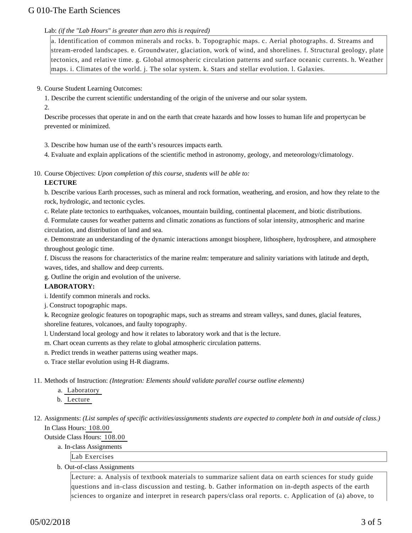#### Lab: *(if the "Lab Hours" is greater than zero this is required)*

a. Identification of common minerals and rocks. b. Topographic maps. c. Aerial photographs. d. Streams and stream-eroded landscapes. e. Groundwater, glaciation, work of wind, and shorelines. f. Structural geology, plate tectonics, and relative time. g. Global atmospheric circulation patterns and surface oceanic currents. h. Weather maps. i. Climates of the world. j. The solar system. k. Stars and stellar evolution. l. Galaxies.

9. Course Student Learning Outcomes:

1. Describe the current scientific understanding of the origin of the universe and our solar system.

2.

Describe processes that operate in and on the earth that create hazards and how losses to human life and propertycan be prevented or minimized.

3. Describe how human use of the earth's resources impacts earth.

4. Evaluate and explain applications of the scientific method in astronomy, geology, and meteorology/climatology.

10. Course Objectives: Upon completion of this course, students will be able to:

### **LECTURE**

b. Describe various Earth processes, such as mineral and rock formation, weathering, and erosion, and how they relate to the rock, hydrologic, and tectonic cycles.

c. Relate plate tectonics to earthquakes, volcanoes, mountain building, continental placement, and biotic distributions.

d. Formulate causes for weather patterns and climatic zonations as functions of solar intensity, atmospheric and marine circulation, and distribution of land and sea.

e. Demonstrate an understanding of the dynamic interactions amongst biosphere, lithosphere, hydrosphere, and atmosphere throughout geologic time.

f. Discuss the reasons for characteristics of the marine realm: temperature and salinity variations with latitude and depth, waves, tides, and shallow and deep currents.

g. Outline the origin and evolution of the universe.

#### **LABORATORY:**

i. Identify common minerals and rocks.

j. Construct topographic maps.

k. Recognize geologic features on topographic maps, such as streams and stream valleys, sand dunes, glacial features, shoreline features, volcanoes, and faulty topography.

l. Understand local geology and how it relates to laboratory work and that is the lecture.

m. Chart ocean currents as they relate to global atmospheric circulation patterns.

n. Predict trends in weather patterns using weather maps.

o. Trace stellar evolution using H-R diagrams.

11. Methods of Instruction: *(Integration: Elements should validate parallel course outline elements)* 

a. Laboratory

b. Lecture

12. Assignments: (List samples of specific activities/assignments students are expected to complete both in and outside of class.) In Class Hours: 108.00

Outside Class Hours: 108.00

a. In-class Assignments

Lab Exercises

b. Out-of-class Assignments

Lecture: a. Analysis of textbook materials to summarize salient data on earth sciences for study guide questions and in-class discussion and testing. b. Gather information on in-depth aspects of the earth sciences to organize and interpret in research papers/class oral reports. c. Application of (a) above, to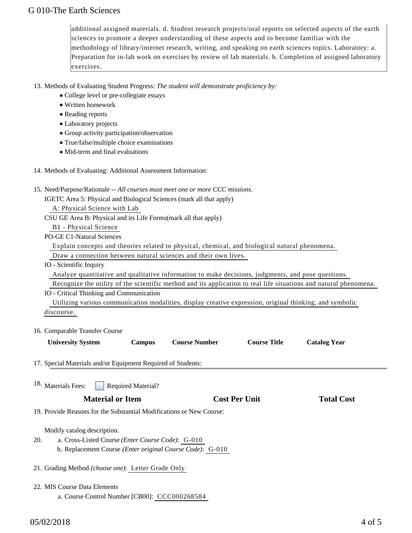additional assigned materials. d. Student research projects/oral reports on selected aspects of the earth sciences to promote a deeper understanding of these aspects and to become familiar with the methodology of library/internet research, writing, and speaking on earth sciences topics. Laboratory: a. Preparation for in-lab work on exercises by review of lab materials. b. Completion of assigned laboratory exercises.

13. Methods of Evaluating Student Progress: The student will demonstrate proficiency by:

- College level or pre-collegiate essays
- Written homework
- Reading reports
- Laboratory projects
- Group activity participation/observation
- True/false/multiple choice examinations
- Mid-term and final evaluations
- 14. Methods of Evaluating: Additional Assessment Information:
- 15. Need/Purpose/Rationale -- All courses must meet one or more CCC missions.

IGETC Area 5: Physical and Biological Sciences (mark all that apply)

A: Physical Science with Lab

CSU GE Area B: Physical and its Life Forms(mark all that apply)

B1 - Physical Science

PO-GE C1-Natural Sciences

Explain concepts and theories related to physical, chemical, and biological natural phenomena.

Draw a connection between natural sciences and their own lives.

IO - Scientific Inquiry

Analyze quantitative and qualitative information to make decisions, judgments, and pose questions.

 Recognize the utility of the scientific method and its application to real life situations and natural phenomena. IO - Critical Thinking and Communication

 Utilizing various communication modalities, display creative expression, original thinking, and symbolic discourse.

16. Comparable Transfer Course

**Campus Course Number Course Title Catalog Year** 

17. Special Materials and/or Equipment Required of Students:

Required Material? 18. Materials Fees:

## **Material or Item Cost Per Unit Total Cost Per Unit Total Cost Per Unit Cost Per Unit Cost Per Unit Cost Per Unit Cost Per Unit Cost Per Unit Cost Per Unit Cost Per Unit Cost Per Unit Cost Per Unit Cost Per Unit Cost Per U**

19. Provide Reasons for the Substantial Modifications or New Course:

Modify catalog description.

- a. Cross-Listed Course *(Enter Course Code)*: G-010 b. Replacement Course *(Enter original Course Code)*: G-010 20.
- 21. Grading Method *(choose one)*: Letter Grade Only
- 22. MIS Course Data Elements
	- a. Course Control Number [CB00]: CCC000268584